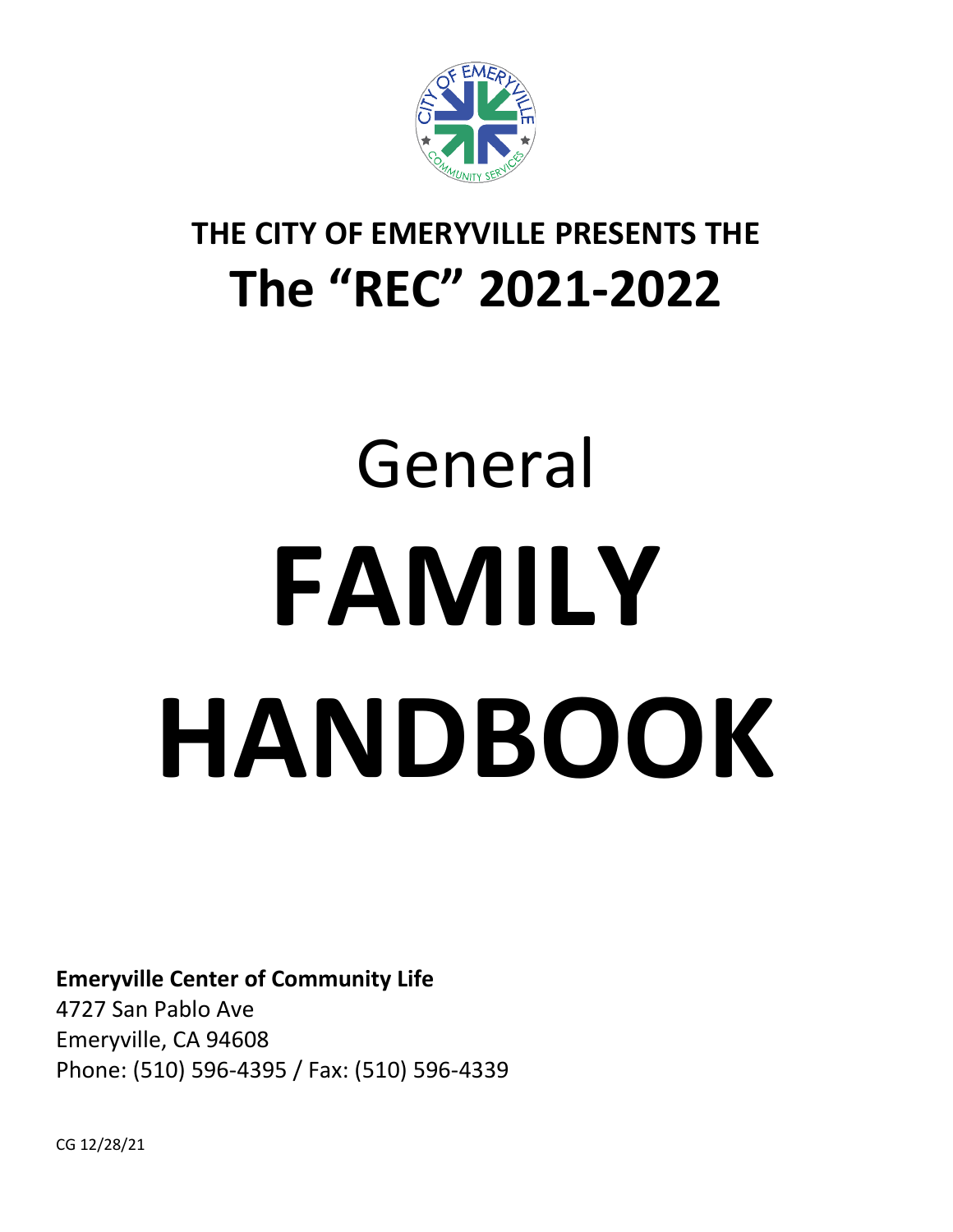

# **THE CITY OF EMERYVILLE PRESENTS THE The "REC" 2021-2022**

# General **FAMILY HANDBOOK**

## **Emeryville Center of Community Life**

4727 San Pablo Ave Emeryville, CA 94608 Phone: (510) 596-4395 / Fax: (510) 596-4339

CG 12/28/21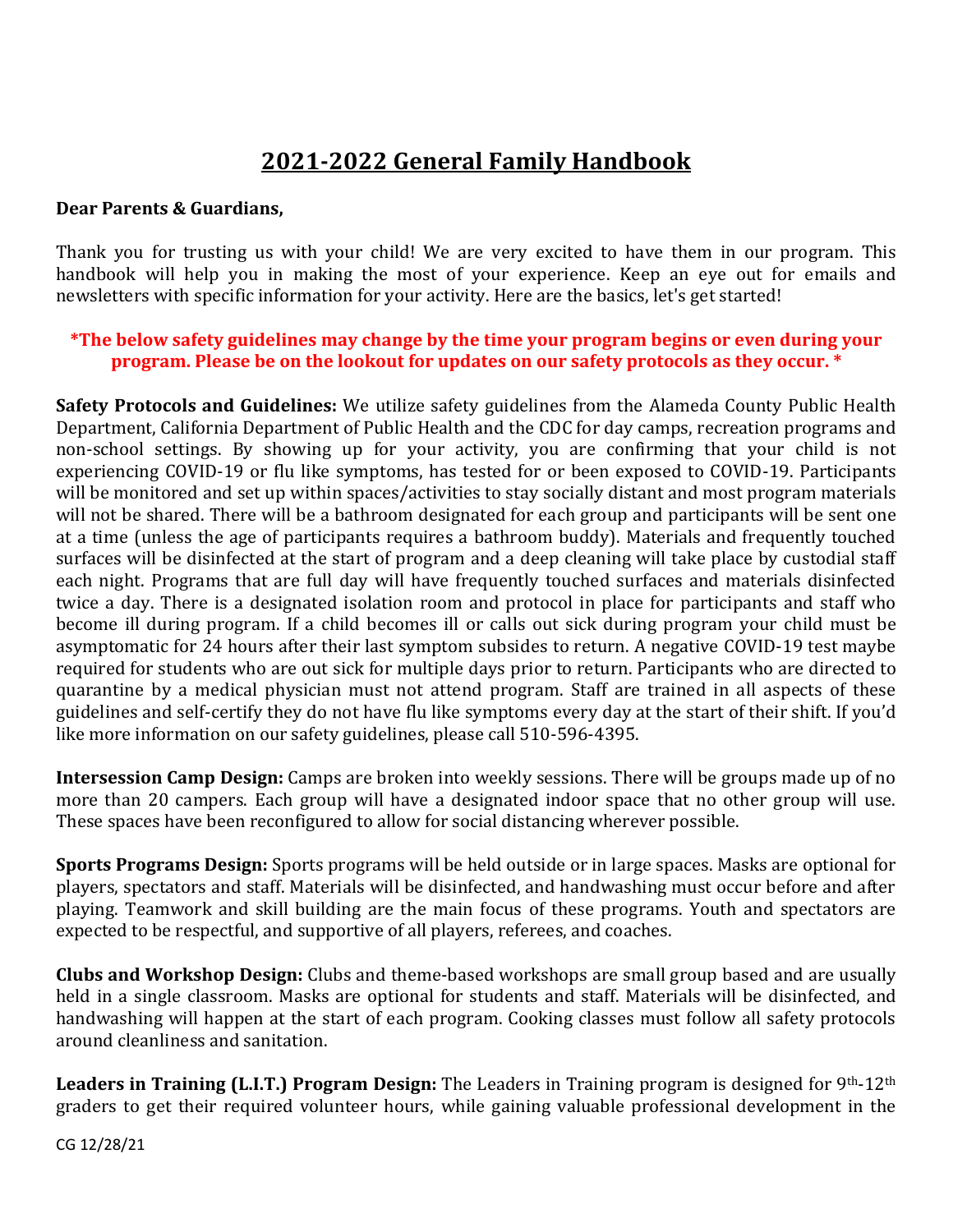# **2021-2022 General Family Handbook**

#### **Dear Parents & Guardians,**

Thank you for trusting us with your child! We are very excited to have them in our program. This handbook will help you in making the most of your experience. Keep an eye out for emails and newsletters with specific information for your activity. Here are the basics, let's get started!

#### **\*The below safety guidelines may change by the time your program begins or even during your program. Please be on the lookout for updates on our safety protocols as they occur. \***

**Safety Protocols and Guidelines:** We utilize safety guidelines from the Alameda County Public Health Department, California Department of Public Health and the CDC for day camps, recreation programs and non-school settings. By showing up for your activity, you are confirming that your child is not experiencing COVID-19 or flu like symptoms, has tested for or been exposed to COVID-19. Participants will be monitored and set up within spaces/activities to stay socially distant and most program materials will not be shared. There will be a bathroom designated for each group and participants will be sent one at a time (unless the age of participants requires a bathroom buddy). Materials and frequently touched surfaces will be disinfected at the start of program and a deep cleaning will take place by custodial staff each night. Programs that are full day will have frequently touched surfaces and materials disinfected twice a day. There is a designated isolation room and protocol in place for participants and staff who become ill during program. If a child becomes ill or calls out sick during program your child must be asymptomatic for 24 hours after their last symptom subsides to return. A negative COVID-19 test maybe required for students who are out sick for multiple days prior to return. Participants who are directed to quarantine by a medical physician must not attend program. Staff are trained in all aspects of these guidelines and self-certify they do not have flu like symptoms every day at the start of their shift. If you'd like more information on our safety guidelines, please call 510-596-4395.

**Intersession Camp Design:** Camps are broken into weekly sessions. There will be groups made up of no more than 20 campers. Each group will have a designated indoor space that no other group will use. These spaces have been reconfigured to allow for social distancing wherever possible.

**Sports Programs Design:** Sports programs will be held outside or in large spaces. Masks are optional for players, spectators and staff. Materials will be disinfected, and handwashing must occur before and after playing. Teamwork and skill building are the main focus of these programs. Youth and spectators are expected to be respectful, and supportive of all players, referees, and coaches.

**Clubs and Workshop Design:** Clubs and theme-based workshops are small group based and are usually held in a single classroom. Masks are optional for students and staff. Materials will be disinfected, and handwashing will happen at the start of each program. Cooking classes must follow all safety protocols around cleanliness and sanitation.

**Leaders in Training (L.I.T.) Program Design:** The Leaders in Training program is designed for 9th-12th graders to get their required volunteer hours, while gaining valuable professional development in the

CG 12/28/21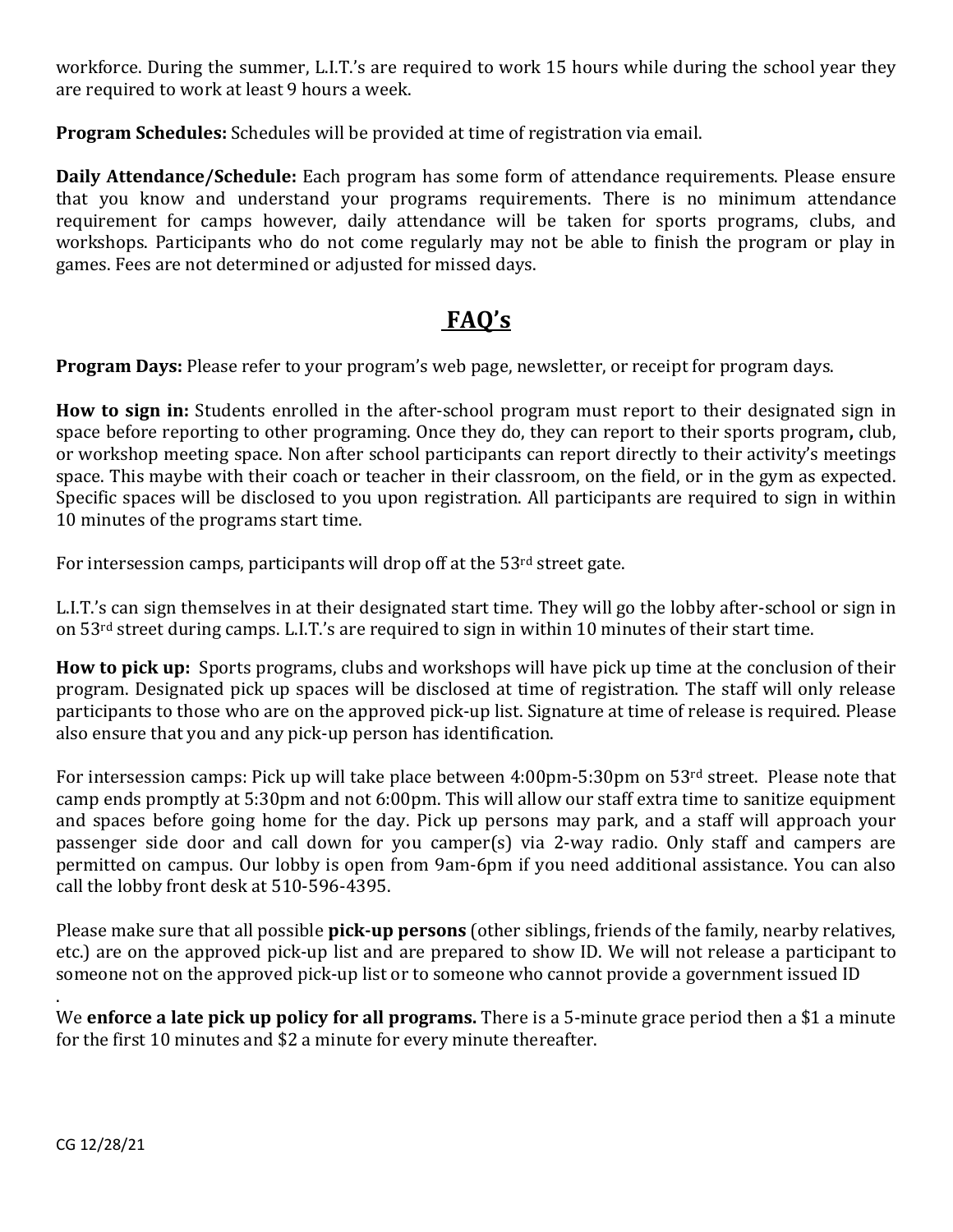workforce. During the summer, L.I.T.'s are required to work 15 hours while during the school year they are required to work at least 9 hours a week.

**Program Schedules:** Schedules will be provided at time of registration via email.

**Daily Attendance/Schedule:** Each program has some form of attendance requirements. Please ensure that you know and understand your programs requirements. There is no minimum attendance requirement for camps however, daily attendance will be taken for sports programs, clubs, and workshops. Participants who do not come regularly may not be able to finish the program or play in games. Fees are not determined or adjusted for missed days.

# **FAQ's**

**Program Days:** Please refer to your program's web page, newsletter, or receipt for program days.

**How to sign in:** Students enrolled in the after-school program must report to their designated sign in space before reporting to other programing. Once they do, they can report to their sports program**,** club, or workshop meeting space. Non after school participants can report directly to their activity's meetings space. This maybe with their coach or teacher in their classroom, on the field, or in the gym as expected. Specific spaces will be disclosed to you upon registration. All participants are required to sign in within 10 minutes of the programs start time.

For intersession camps, participants will drop off at the 53<sup>rd</sup> street gate.

L.I.T.'s can sign themselves in at their designated start time. They will go the lobby after-school or sign in on 53rd street during camps. L.I.T.'s are required to sign in within 10 minutes of their start time.

**How to pick up:** Sports programs, clubs and workshops will have pick up time at the conclusion of their program. Designated pick up spaces will be disclosed at time of registration. The staff will only release participants to those who are on the approved pick-up list. Signature at time of release is required. Please also ensure that you and any pick-up person has identification.

For intersession camps: Pick up will take place between 4:00pm-5:30pm on 53rd street. Please note that camp ends promptly at 5:30pm and not 6:00pm. This will allow our staff extra time to sanitize equipment and spaces before going home for the day. Pick up persons may park, and a staff will approach your passenger side door and call down for you camper(s) via 2-way radio. Only staff and campers are permitted on campus. Our lobby is open from 9am-6pm if you need additional assistance. You can also call the lobby front desk at 510-596-4395.

Please make sure that all possible **pick-up persons** (other siblings, friends of the family, nearby relatives, etc.) are on the approved pick-up list and are prepared to show ID. We will not release a participant to someone not on the approved pick-up list or to someone who cannot provide a government issued ID

We **enforce a late pick up policy for all programs.** There is a 5-minute grace period then a \$1 a minute for the first 10 minutes and \$2 a minute for every minute thereafter.

.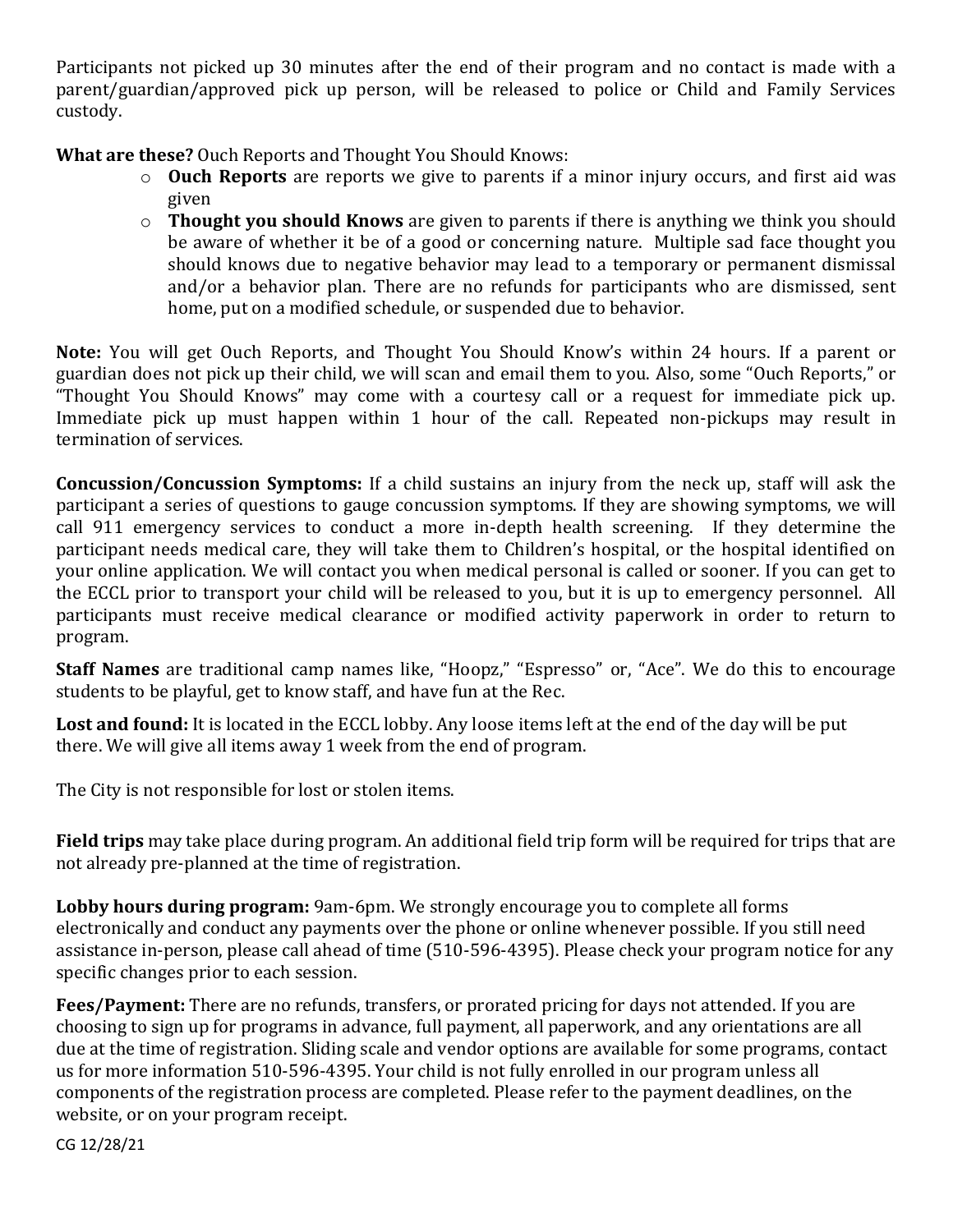Participants not picked up 30 minutes after the end of their program and no contact is made with a parent/guardian/approved pick up person, will be released to police or Child and Family Services custody.

**What are these?** Ouch Reports and Thought You Should Knows:

- o **Ouch Reports** are reports we give to parents if a minor injury occurs, and first aid was given
- o **Thought you should Knows** are given to parents if there is anything we think you should be aware of whether it be of a good or concerning nature. Multiple sad face thought you should knows due to negative behavior may lead to a temporary or permanent dismissal and/or a behavior plan. There are no refunds for participants who are dismissed, sent home, put on a modified schedule, or suspended due to behavior.

**Note:** You will get Ouch Reports, and Thought You Should Know's within 24 hours. If a parent or guardian does not pick up their child, we will scan and email them to you. Also, some "Ouch Reports," or "Thought You Should Knows" may come with a courtesy call or a request for immediate pick up. Immediate pick up must happen within 1 hour of the call. Repeated non-pickups may result in termination of services.

**Concussion/Concussion Symptoms:** If a child sustains an injury from the neck up, staff will ask the participant a series of questions to gauge concussion symptoms. If they are showing symptoms, we will call 911 emergency services to conduct a more in-depth health screening. If they determine the participant needs medical care, they will take them to Children's hospital, or the hospital identified on your online application. We will contact you when medical personal is called or sooner. If you can get to the ECCL prior to transport your child will be released to you, but it is up to emergency personnel. All participants must receive medical clearance or modified activity paperwork in order to return to program.

**Staff Names** are traditional camp names like, "Hoopz," "Espresso" or, "Ace". We do this to encourage students to be playful, get to know staff, and have fun at the Rec.

**Lost and found:** It is located in the ECCL lobby. Any loose items left at the end of the day will be put there. We will give all items away 1 week from the end of program.

The City is not responsible for lost or stolen items.

**Field trips** may take place during program. An additional field trip form will be required for trips that are not already pre-planned at the time of registration.

**Lobby hours during program:** 9am-6pm. We strongly encourage you to complete all forms electronically and conduct any payments over the phone or online whenever possible. If you still need assistance in-person, please call ahead of time (510-596-4395). Please check your program notice for any specific changes prior to each session.

**Fees/Payment:** There are no refunds, transfers, or prorated pricing for days not attended. If you are choosing to sign up for programs in advance, full payment, all paperwork, and any orientations are all due at the time of registration. Sliding scale and vendor options are available for some programs, contact us for more information 510-596-4395. Your child is not fully enrolled in our program unless all components of the registration process are completed. Please refer to the payment deadlines, on the website, or on your program receipt.

CG 12/28/21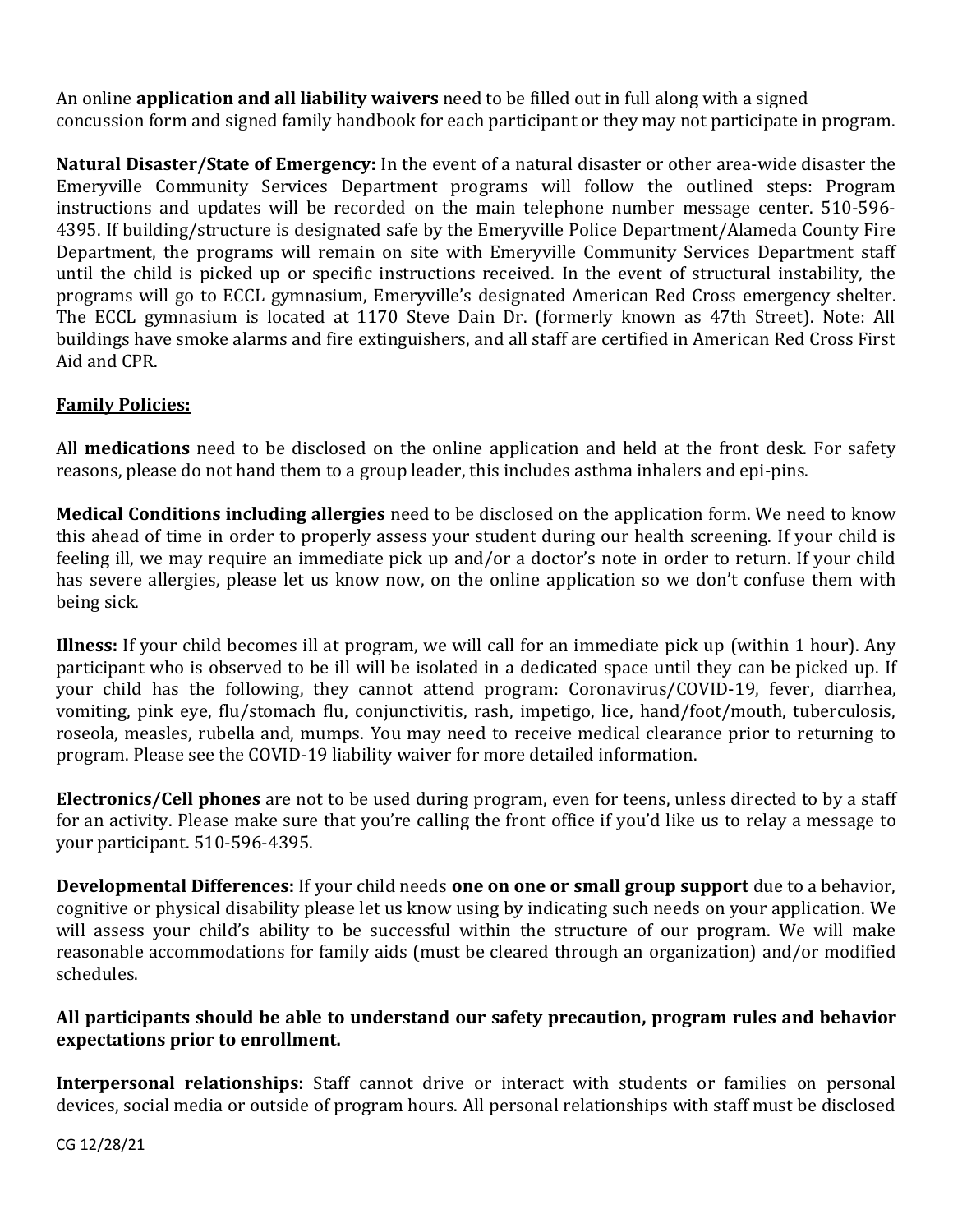An online **application and all liability waivers** need to be filled out in full along with a signed concussion form and signed family handbook for each participant or they may not participate in program.

**Natural Disaster/State of Emergency:** In the event of a natural disaster or other area-wide disaster the Emeryville Community Services Department programs will follow the outlined steps: Program instructions and updates will be recorded on the main telephone number message center. 510‐596‐ 4395. If building/structure is designated safe by the Emeryville Police Department/Alameda County Fire Department, the programs will remain on site with Emeryville Community Services Department staff until the child is picked up or specific instructions received. In the event of structural instability, the programs will go to ECCL gymnasium, Emeryville's designated American Red Cross emergency shelter. The ECCL gymnasium is located at 1170 Steve Dain Dr. (formerly known as 47th Street). Note: All buildings have smoke alarms and fire extinguishers, and all staff are certified in American Red Cross First Aid and CPR.

#### **Family Policies:**

All **medications** need to be disclosed on the online application and held at the front desk. For safety reasons, please do not hand them to a group leader, this includes asthma inhalers and epi-pins.

**Medical Conditions including allergies** need to be disclosed on the application form. We need to know this ahead of time in order to properly assess your student during our health screening. If your child is feeling ill, we may require an immediate pick up and/or a doctor's note in order to return. If your child has severe allergies, please let us know now, on the online application so we don't confuse them with being sick.

**Illness:** If your child becomes ill at program, we will call for an immediate pick up (within 1 hour). Any participant who is observed to be ill will be isolated in a dedicated space until they can be picked up. If your child has the following, they cannot attend program: Coronavirus/COVID-19, fever, diarrhea, vomiting, pink eye, flu/stomach flu, conjunctivitis, rash, impetigo, lice, hand/foot/mouth, tuberculosis, roseola, measles, rubella and, mumps. You may need to receive medical clearance prior to returning to program. Please see the COVID-19 liability waiver for more detailed information.

**Electronics/Cell phones** are not to be used during program, even for teens, unless directed to by a staff for an activity. Please make sure that you're calling the front office if you'd like us to relay a message to your participant. 510-596-4395.

**Developmental Differences:** If your child needs **one on one or small group support** due to a behavior, cognitive or physical disability please let us know using by indicating such needs on your application. We will assess your child's ability to be successful within the structure of our program. We will make reasonable accommodations for family aids (must be cleared through an organization) and/or modified schedules.

#### **All participants should be able to understand our safety precaution, program rules and behavior expectations prior to enrollment.**

**Interpersonal relationships:** Staff cannot drive or interact with students or families on personal devices, social media or outside of program hours. All personal relationships with staff must be disclosed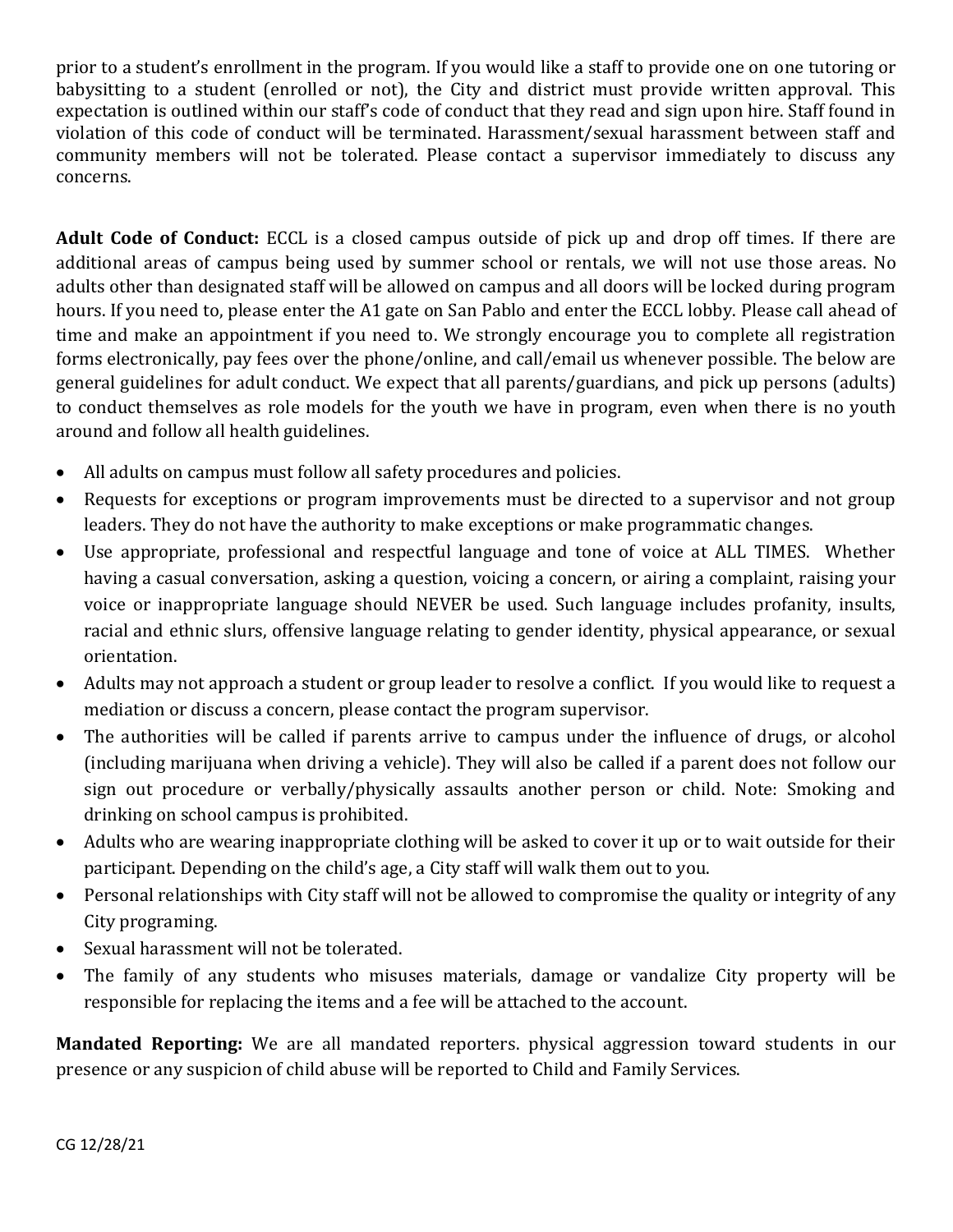prior to a student's enrollment in the program. If you would like a staff to provide one on one tutoring or babysitting to a student (enrolled or not), the City and district must provide written approval. This expectation is outlined within our staff's code of conduct that they read and sign upon hire. Staff found in violation of this code of conduct will be terminated. Harassment/sexual harassment between staff and community members will not be tolerated. Please contact a supervisor immediately to discuss any concerns.

**Adult Code of Conduct:** ECCL is a closed campus outside of pick up and drop off times. If there are additional areas of campus being used by summer school or rentals, we will not use those areas. No adults other than designated staff will be allowed on campus and all doors will be locked during program hours. If you need to, please enter the A1 gate on San Pablo and enter the ECCL lobby. Please call ahead of time and make an appointment if you need to. We strongly encourage you to complete all registration forms electronically, pay fees over the phone/online, and call/email us whenever possible. The below are general guidelines for adult conduct. We expect that all parents/guardians, and pick up persons (adults) to conduct themselves as role models for the youth we have in program, even when there is no youth around and follow all health guidelines.

- All adults on campus must follow all safety procedures and policies.
- Requests for exceptions or program improvements must be directed to a supervisor and not group leaders. They do not have the authority to make exceptions or make programmatic changes.
- Use appropriate, professional and respectful language and tone of voice at ALL TIMES. Whether having a casual conversation, asking a question, voicing a concern, or airing a complaint, raising your voice or inappropriate language should NEVER be used. Such language includes profanity, insults, racial and ethnic slurs, offensive language relating to gender identity, physical appearance, or sexual orientation.
- Adults may not approach a student or group leader to resolve a conflict. If you would like to request a mediation or discuss a concern, please contact the program supervisor.
- The authorities will be called if parents arrive to campus under the influence of drugs, or alcohol (including marijuana when driving a vehicle). They will also be called if a parent does not follow our sign out procedure or verbally/physically assaults another person or child. Note: Smoking and drinking on school campus is prohibited.
- Adults who are wearing inappropriate clothing will be asked to cover it up or to wait outside for their participant. Depending on the child's age, a City staff will walk them out to you.
- Personal relationships with City staff will not be allowed to compromise the quality or integrity of any City programing.
- Sexual harassment will not be tolerated.
- The family of any students who misuses materials, damage or vandalize City property will be responsible for replacing the items and a fee will be attached to the account.

**Mandated Reporting:** We are all mandated reporters. physical aggression toward students in our presence or any suspicion of child abuse will be reported to Child and Family Services.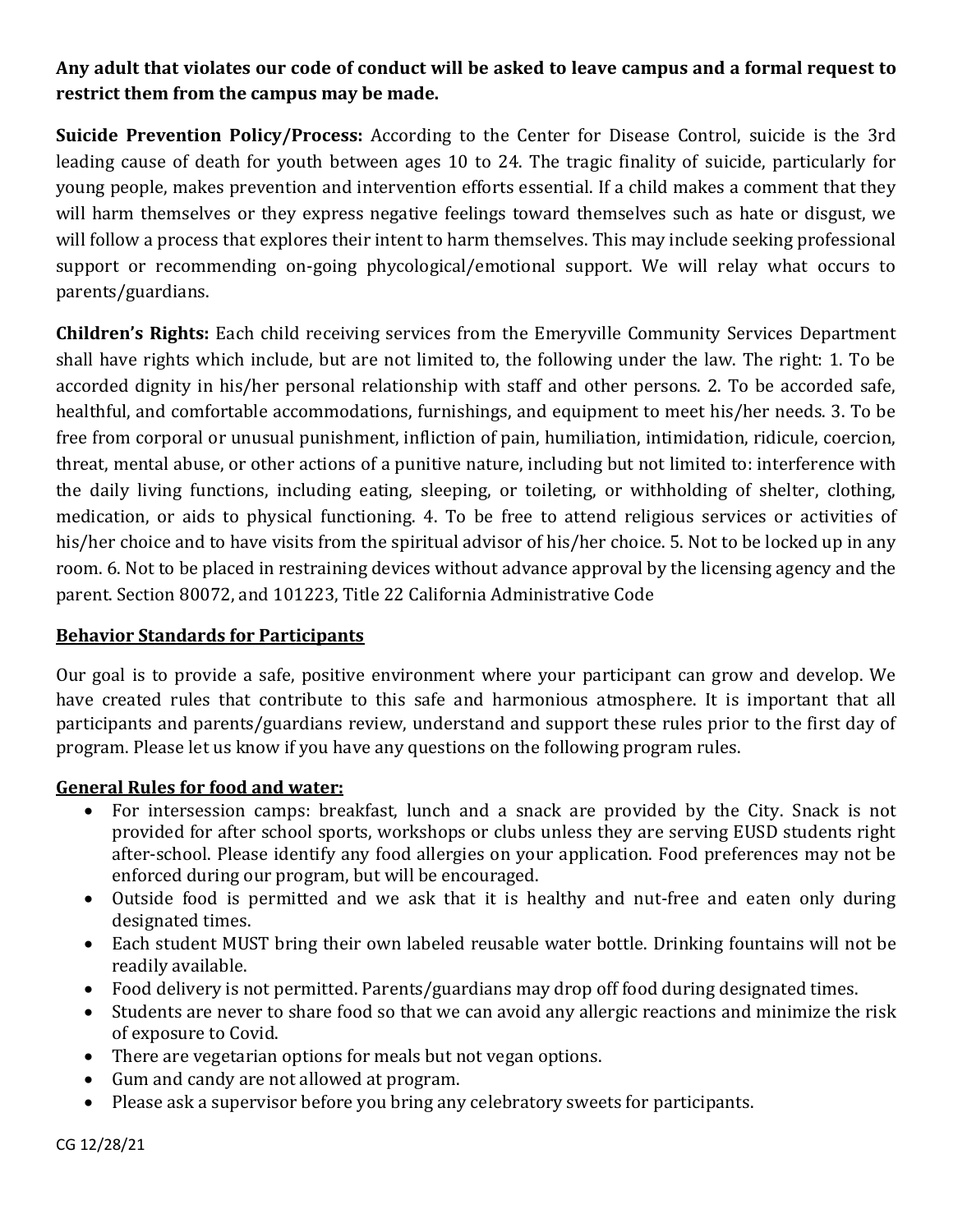### **Any adult that violates our code of conduct will be asked to leave campus and a formal request to restrict them from the campus may be made.**

**Suicide Prevention Policy/Process:** According to the Center for Disease Control, suicide is the 3rd leading cause of death for youth between ages 10 to 24. The tragic finality of suicide, particularly for young people, makes prevention and intervention efforts essential. If a child makes a comment that they will harm themselves or they express negative feelings toward themselves such as hate or disgust, we will follow a process that explores their intent to harm themselves. This may include seeking professional support or recommending on-going phycological/emotional support. We will relay what occurs to parents/guardians.

**Children's Rights:** Each child receiving services from the Emeryville Community Services Department shall have rights which include, but are not limited to, the following under the law. The right: 1. To be accorded dignity in his/her personal relationship with staff and other persons. 2. To be accorded safe, healthful, and comfortable accommodations, furnishings, and equipment to meet his/her needs. 3. To be free from corporal or unusual punishment, infliction of pain, humiliation, intimidation, ridicule, coercion, threat, mental abuse, or other actions of a punitive nature, including but not limited to: interference with the daily living functions, including eating, sleeping, or toileting, or withholding of shelter, clothing, medication, or aids to physical functioning. 4. To be free to attend religious services or activities of his/her choice and to have visits from the spiritual advisor of his/her choice. 5. Not to be locked up in any room. 6. Not to be placed in restraining devices without advance approval by the licensing agency and the parent. Section 80072, and 101223, Title 22 California Administrative Code

#### **Behavior Standards for Participants**

Our goal is to provide a safe, positive environment where your participant can grow and develop. We have created rules that contribute to this safe and harmonious atmosphere. It is important that all participants and parents/guardians review, understand and support these rules prior to the first day of program. Please let us know if you have any questions on the following program rules.

#### **General Rules for food and water:**

- For intersession camps: breakfast, lunch and a snack are provided by the City. Snack is not provided for after school sports, workshops or clubs unless they are serving EUSD students right after-school. Please identify any food allergies on your application. Food preferences may not be enforced during our program, but will be encouraged.
- Outside food is permitted and we ask that it is healthy and nut-free and eaten only during designated times.
- Each student MUST bring their own labeled reusable water bottle. Drinking fountains will not be readily available.
- Food delivery is not permitted. Parents/guardians may drop off food during designated times.
- Students are never to share food so that we can avoid any allergic reactions and minimize the risk of exposure to Covid.
- There are vegetarian options for meals but not vegan options.
- Gum and candy are not allowed at program.
- Please ask a supervisor before you bring any celebratory sweets for participants.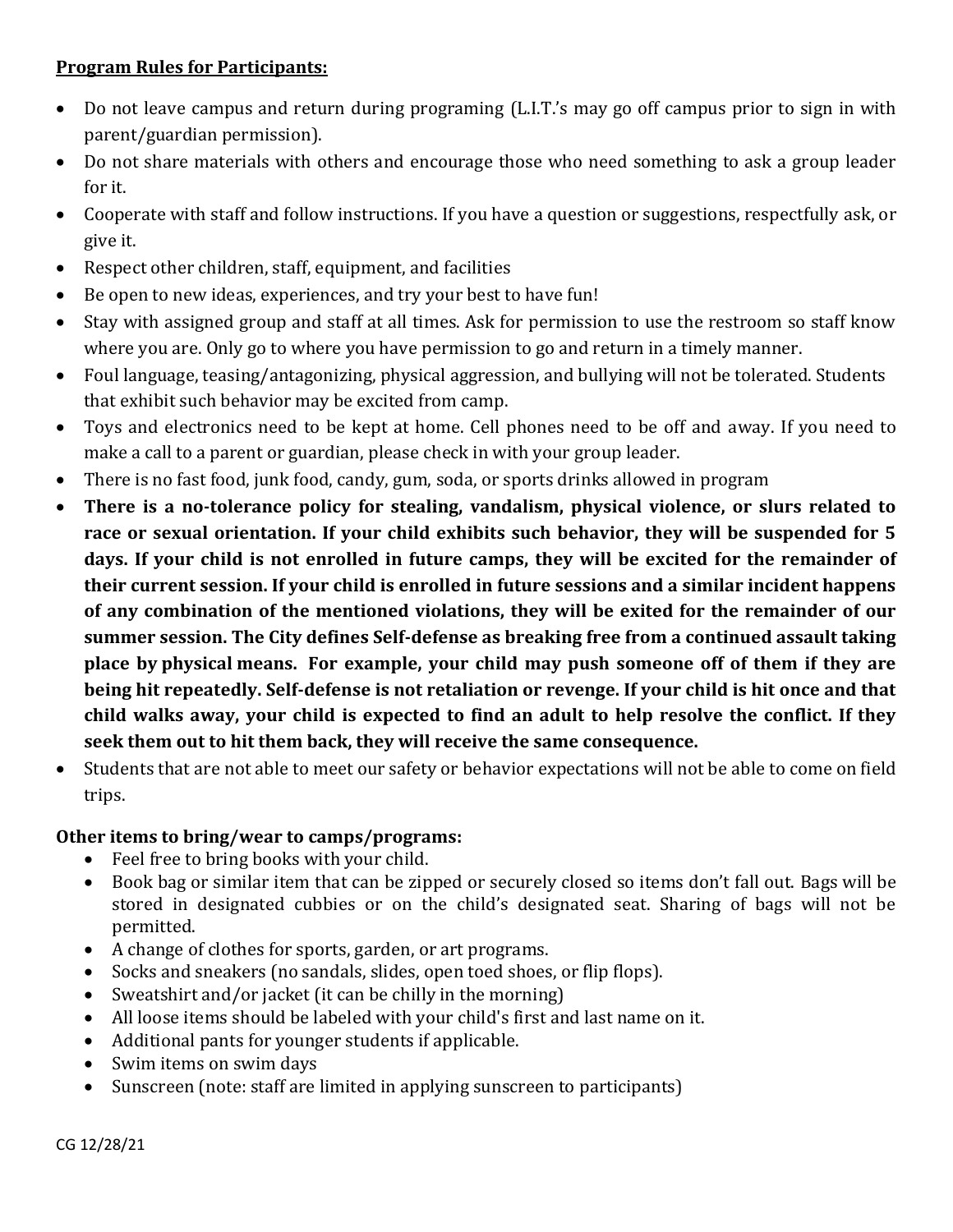#### **Program Rules for Participants:**

- Do not leave campus and return during programing (L.I.T.'s may go off campus prior to sign in with parent/guardian permission).
- Do not share materials with others and encourage those who need something to ask a group leader for it.
- Cooperate with staff and follow instructions. If you have a question or suggestions, respectfully ask, or give it.
- Respect other children, staff, equipment, and facilities
- Be open to new ideas, experiences, and try your best to have fun!
- Stay with assigned group and staff at all times. Ask for permission to use the restroom so staff know where you are. Only go to where you have permission to go and return in a timely manner.
- Foul language, teasing/antagonizing, physical aggression, and bullying will not be tolerated. Students that exhibit such behavior may be excited from camp.
- Toys and electronics need to be kept at home. Cell phones need to be off and away. If you need to make a call to a parent or guardian, please check in with your group leader.
- There is no fast food, junk food, candy, gum, soda, or sports drinks allowed in program
- **There is a no-tolerance policy for stealing, vandalism, physical violence, or slurs related to race or sexual orientation. If your child exhibits such behavior, they will be suspended for 5 days. If your child is not enrolled in future camps, they will be excited for the remainder of their current session. If your child is enrolled in future sessions and a similar incident happens of any combination of the mentioned violations, they will be exited for the remainder of our summer session. The City defines Self-defense as breaking free from a continued assault taking place by physical means. For example, your child may push someone off of them if they are being hit repeatedly. Self-defense is not retaliation or revenge. If your child is hit once and that child walks away, your child is expected to find an adult to help resolve the conflict. If they seek them out to hit them back, they will receive the same consequence.**
- Students that are not able to meet our safety or behavior expectations will not be able to come on field trips.

#### **Other items to bring/wear to camps/programs:**

- Feel free to bring books with your child.
- Book bag or similar item that can be zipped or securely closed so items don't fall out. Bags will be stored in designated cubbies or on the child's designated seat. Sharing of bags will not be permitted.
- A change of clothes for sports, garden, or art programs.
- Socks and sneakers (no sandals, slides, open toed shoes, or flip flops).
- Sweatshirt and/or jacket (it can be chilly in the morning)
- All loose items should be labeled with your child's first and last name on it.
- Additional pants for younger students if applicable.
- Swim items on swim days
- Sunscreen (note: staff are limited in applying sunscreen to participants)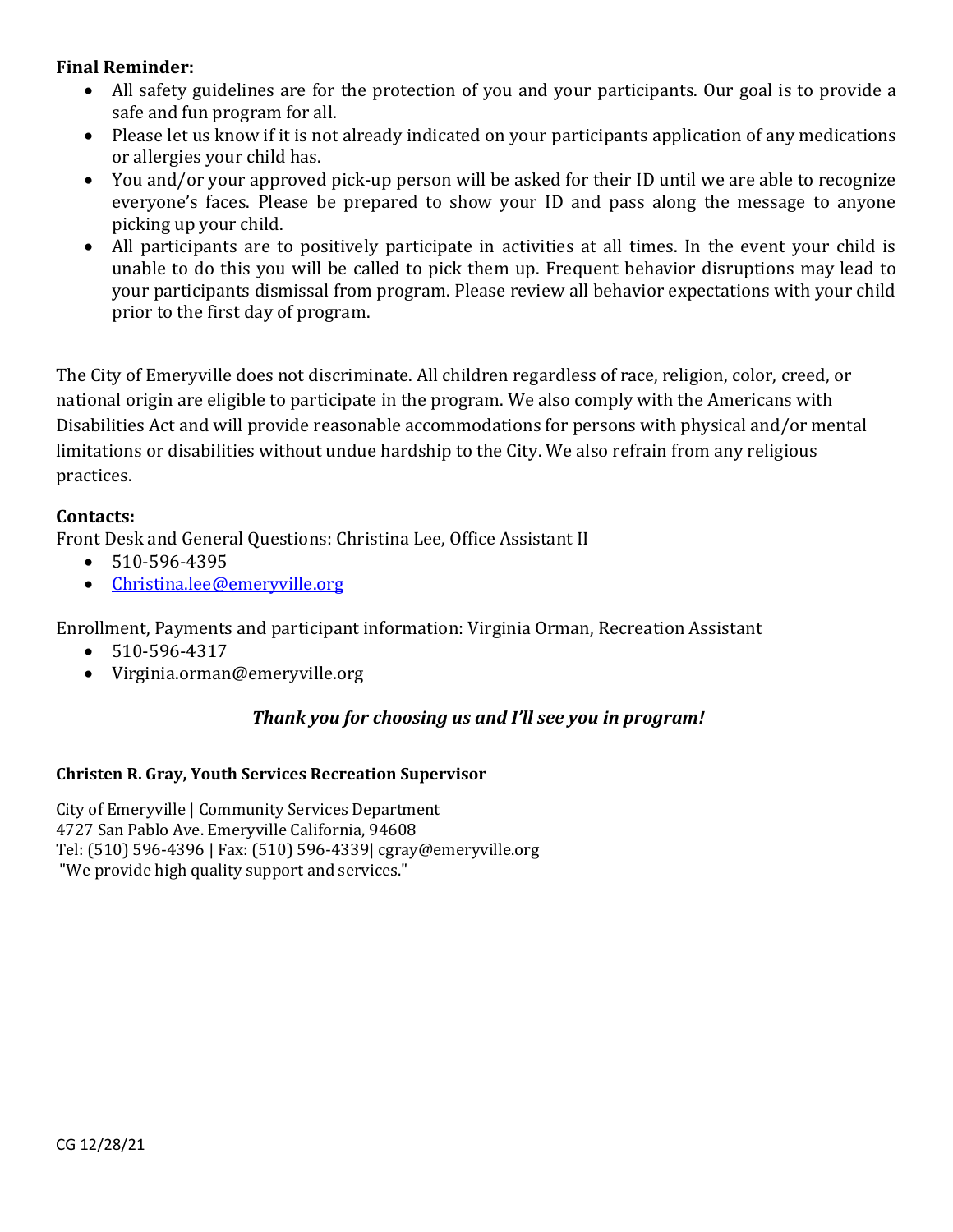#### **Final Reminder:**

- All safety guidelines are for the protection of you and your participants. Our goal is to provide a safe and fun program for all.
- Please let us know if it is not already indicated on your participants application of any medications or allergies your child has.
- You and/or your approved pick-up person will be asked for their ID until we are able to recognize everyone's faces. Please be prepared to show your ID and pass along the message to anyone picking up your child.
- All participants are to positively participate in activities at all times. In the event your child is unable to do this you will be called to pick them up. Frequent behavior disruptions may lead to your participants dismissal from program. Please review all behavior expectations with your child prior to the first day of program.

The City of Emeryville does not discriminate. All children regardless of race, religion, color, creed, or national origin are eligible to participate in the program. We also comply with the Americans with Disabilities Act and will provide reasonable accommodations for persons with physical and/or mental limitations or disabilities without undue hardship to the City. We also refrain from any religious practices.

#### **Contacts:**

Front Desk and General Questions: Christina Lee, Office Assistant II

- 510-596-4395
- [Christina.lee@emeryville.org](mailto:Christina.lee@emeryville.org)

Enrollment, Payments and participant information: Virginia Orman, Recreation Assistant

- 510-596-4317
- Virginia.orman@emeryville.org

#### *Thank you for choosing us and I'll see you in program!*

#### **Christen R. Gray, Youth Services Recreation Supervisor**

City of Emeryville | Community Services Department 4727 San Pablo Ave. Emeryville California, 94608 Tel: (510) 596-4396 | Fax: (510) 596-4339| cgray@emeryville.org "We provide high quality support and services."